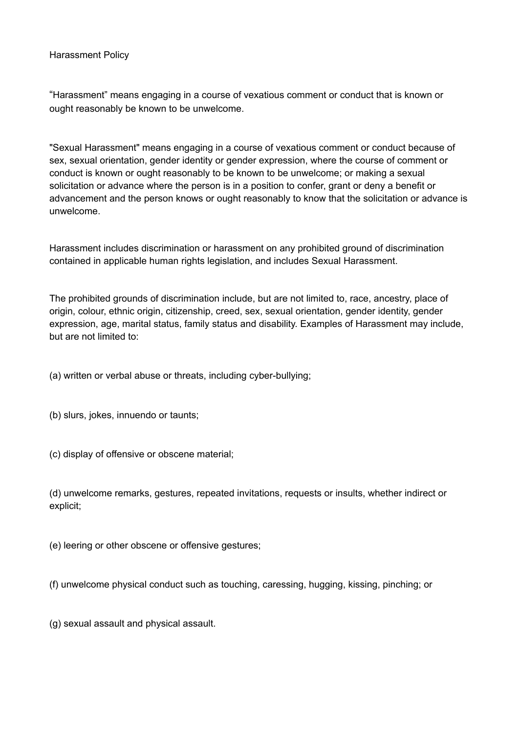#### Harassment Policy

"Harassment" means engaging in a course of vexatious comment or conduct that is known or ought reasonably be known to be unwelcome.

"Sexual Harassment" means engaging in a course of vexatious comment or conduct because of sex, sexual orientation, gender identity or gender expression, where the course of comment or conduct is known or ought reasonably to be known to be unwelcome; or making a sexual solicitation or advance where the person is in a position to confer, grant or deny a benefit or advancement and the person knows or ought reasonably to know that the solicitation or advance is unwelcome.

Harassment includes discrimination or harassment on any prohibited ground of discrimination contained in applicable human rights legislation, and includes Sexual Harassment.

The prohibited grounds of discrimination include, but are not limited to, race, ancestry, place of origin, colour, ethnic origin, citizenship, creed, sex, sexual orientation, gender identity, gender expression, age, marital status, family status and disability. Examples of Harassment may include, but are not limited to:

(a) written or verbal abuse or threats, including cyber-bullying;

(b) slurs, jokes, innuendo or taunts;

(c) display of offensive or obscene material;

(d) unwelcome remarks, gestures, repeated invitations, requests or insults, whether indirect or explicit;

(e) leering or other obscene or offensive gestures;

(f) unwelcome physical conduct such as touching, caressing, hugging, kissing, pinching; or

(g) sexual assault and physical assault.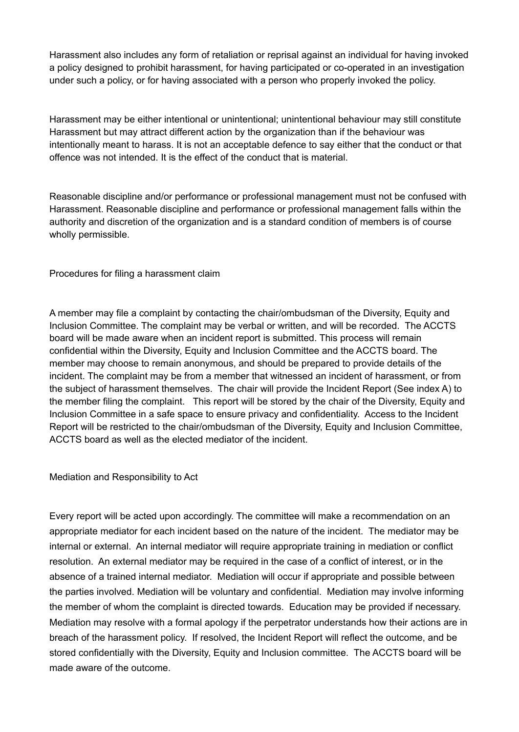Harassment also includes any form of retaliation or reprisal against an individual for having invoked a policy designed to prohibit harassment, for having participated or co-operated in an investigation under such a policy, or for having associated with a person who properly invoked the policy.

Harassment may be either intentional or unintentional; unintentional behaviour may still constitute Harassment but may attract different action by the organization than if the behaviour was intentionally meant to harass. It is not an acceptable defence to say either that the conduct or that offence was not intended. It is the effect of the conduct that is material.

Reasonable discipline and/or performance or professional management must not be confused with Harassment. Reasonable discipline and performance or professional management falls within the authority and discretion of the organization and is a standard condition of members is of course wholly permissible.

Procedures for filing a harassment claim

A member may file a complaint by contacting the chair/ombudsman of the Diversity, Equity and Inclusion Committee. The complaint may be verbal or written, and will be recorded. The ACCTS board will be made aware when an incident report is submitted. This process will remain confidential within the Diversity, Equity and Inclusion Committee and the ACCTS board. The member may choose to remain anonymous, and should be prepared to provide details of the incident. The complaint may be from a member that witnessed an incident of harassment, or from the subject of harassment themselves. The chair will provide the Incident Report (See index A) to the member filing the complaint. This report will be stored by the chair of the Diversity, Equity and Inclusion Committee in a safe space to ensure privacy and confidentiality. Access to the Incident Report will be restricted to the chair/ombudsman of the Diversity, Equity and Inclusion Committee, ACCTS board as well as the elected mediator of the incident.

Mediation and Responsibility to Act

Every report will be acted upon accordingly. The committee will make a recommendation on an appropriate mediator for each incident based on the nature of the incident. The mediator may be internal or external. An internal mediator will require appropriate training in mediation or conflict resolution. An external mediator may be required in the case of a conflict of interest, or in the absence of a trained internal mediator. Mediation will occur if appropriate and possible between the parties involved. Mediation will be voluntary and confidential. Mediation may involve informing the member of whom the complaint is directed towards. Education may be provided if necessary. Mediation may resolve with a formal apology if the perpetrator understands how their actions are in breach of the harassment policy. If resolved, the Incident Report will reflect the outcome, and be stored confidentially with the Diversity, Equity and Inclusion committee. The ACCTS board will be made aware of the outcome.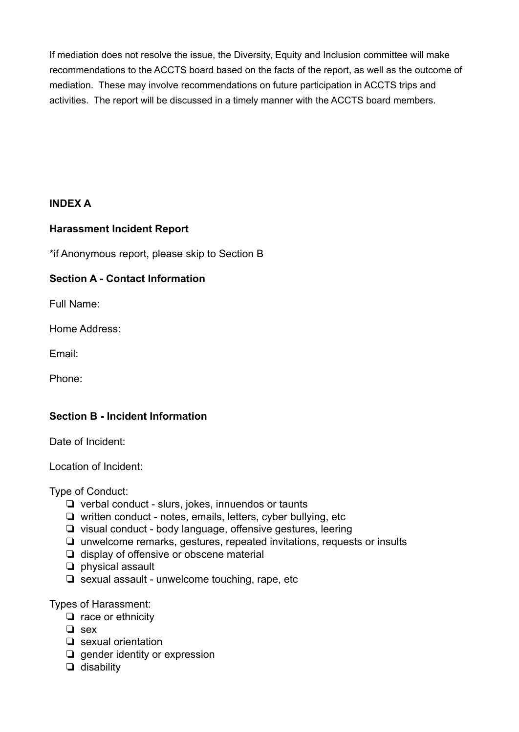If mediation does not resolve the issue, the Diversity, Equity and Inclusion committee will make recommendations to the ACCTS board based on the facts of the report, as well as the outcome of mediation. These may involve recommendations on future participation in ACCTS trips and activities. The report will be discussed in a timely manner with the ACCTS board members.

# **INDEX A**

# **Harassment Incident Report**

\*if Anonymous report, please skip to Section B

# **Section A - Contact Information**

Full Name:

Home Address:

Email:

Phone:

# **Section B - Incident Information**

Date of Incident:

Location of Incident:

Type of Conduct:

- ❏ verbal conduct slurs, jokes, innuendos or taunts
- ❏ written conduct notes, emails, letters, cyber bullying, etc
- ❏ visual conduct body language, offensive gestures, leering
- ❏ unwelcome remarks, gestures, repeated invitations, requests or insults
- ❏ display of offensive or obscene material
- ❏ physical assault
- ❏ sexual assault unwelcome touching, rape, etc

Types of Harassment:

- ❏ race or ethnicity
- ❏ sex
- ❏ sexual orientation
- ❏ gender identity or expression
- ❏ disability